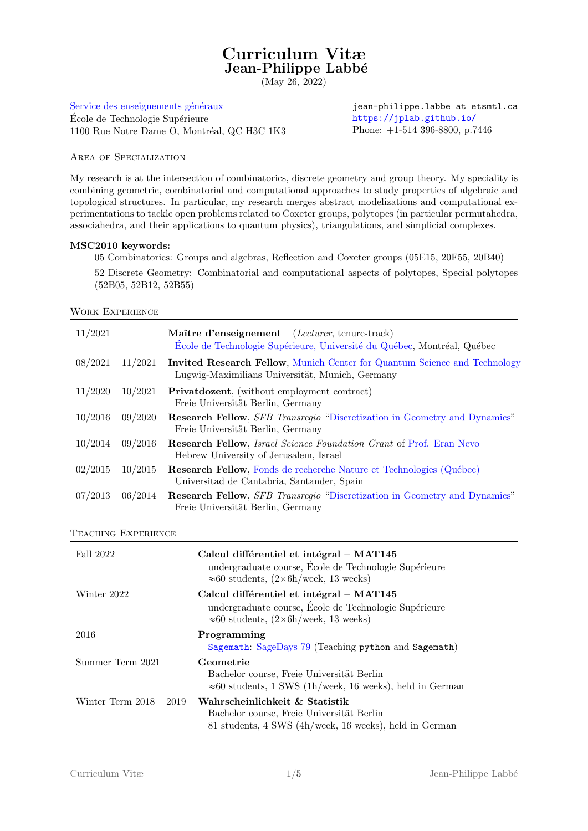# Curriculum Vitæ Jean-Philippe Labbé

(May 26, 2022)

Service des enseignements généraux École de Technologie Supérieure 1100 Rue Notre Dame O, Montréal, QC H3C 1K3

jean-philippe.labbe at etsmtl.ca <https://jplab.github.io/> Phone: +1-514 396-8800, p.7446

## Area of Specialization

My research is at the intersection of combinatorics, discrete geometry and group theory. My speciality is combining geometric, combinatorial and computational approaches to study properties of algebraic and topological structures. In particular, my research merges abstract modelizations and computational experimentations to tackle open problems related to Coxeter groups, polytopes (in particular permutahedra, associahedra, and their applications to quantum physics), triangulations, and simplicial complexes.

# MSC2010 keywords:

05 Combinatorics: Groups and algebras, Reflection and Coxeter groups (05E15, 20F55, 20B40)

52 Discrete Geometry: Combinatorial and computational aspects of polytopes, Special polytopes (52B05, 52B12, 52B55)

Work Experience

| $11/2021 -$         | Maître d'enseignement – (Lecturer, tenure-track)<br>Ecole de Technologie Supérieure, Université du Québec, Montréal, Québec         |
|---------------------|-------------------------------------------------------------------------------------------------------------------------------------|
| $08/2021 - 11/2021$ | <b>Invited Research Fellow, Munich Center for Quantum Science and Technology</b><br>Lugwig-Maximilians Universität, Munich, Germany |
| $11/2020 - 10/2021$ | <b>Privatdozent</b> , (without employment contract)<br>Freie Universität Berlin, Germany                                            |
| $10/2016 - 09/2020$ | <b>Research Fellow</b> , <i>SFB Transregio</i> "Discretization in Geometry and Dynamics"<br>Freie Universität Berlin, Germany       |
| $10/2014 - 09/2016$ | <b>Research Fellow</b> , <i>Israel Science Foundation Grant</i> of Prof. Eran Nevo<br>Hebrew University of Jerusalem, Israel        |
| $02/2015 - 10/2015$ | <b>Research Fellow</b> , Fonds de recherche Nature et Technologies (Québec)<br>Universitad de Cantabria, Santander, Spain           |
| $07/2013 - 06/2014$ | <b>Research Fellow, SFB Transregio "Discretization in Geometry and Dynamics"</b><br>Freie Universität Berlin, Germany               |

#### Teaching Experience

| Fall 2022                 | Calcul différentiel et intégral – MAT145<br>undergraduate course, École de Technologie Supérieure<br>$\approx 60$ students, $(2 \times 6h$ /week, 13 weeks) |
|---------------------------|-------------------------------------------------------------------------------------------------------------------------------------------------------------|
| Winter 2022               | Calcul différentiel et intégral – MAT145<br>undergraduate course, École de Technologie Supérieure<br>$\approx 60$ students, $(2 \times 6h$ /week, 13 weeks) |
| $2016$ –                  | Programming<br>Sagemath: SageDays 79 (Teaching python and Sagemath)                                                                                         |
| Summer Term 2021          | Geometrie<br>Bachelor course, Freie Universität Berlin<br>$\approx 60$ students, 1 SWS (1h/week, 16 weeks), held in German                                  |
| Winter Term $2018 - 2019$ | Wahrscheinlichkeit & Statistik<br>Bachelor course, Freie Universität Berlin<br>81 students, 4 SWS (4h/week, 16 weeks), held in German                       |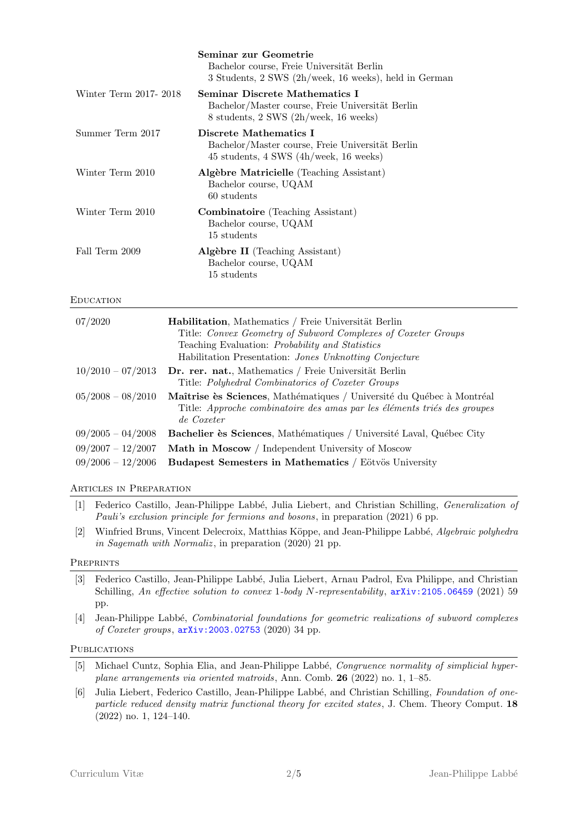|                       | Seminar zur Geometrie<br>Bachelor course, Freie Universität Berlin<br>3 Students, 2 SWS (2h/week, 16 weeks), held in German |
|-----------------------|-----------------------------------------------------------------------------------------------------------------------------|
| Winter Term 2017-2018 | Seminar Discrete Mathematics I<br>Bachelor/Master course, Freie Universität Berlin<br>8 students, 2 SWS (2h/week, 16 weeks) |
| Summer Term 2017      | Discrete Mathematics I<br>Bachelor/Master course, Freie Universität Berlin<br>45 students, 4 SWS (4h/week, 16 weeks)        |
| Winter Term 2010      | Algèbre Matricielle (Teaching Assistant)<br>Bachelor course, UQAM<br>60 students                                            |
| Winter Term 2010      | <b>Combinatoire</b> (Teaching Assistant)<br>Bachelor course, UQAM<br>15 students                                            |
| Fall Term 2009        | Algèbre II (Teaching Assistant)<br>Bachelor course, UQAM<br>15 students                                                     |

#### **EDUCATION**

| 07/2020             | <b>Habilitation</b> , Mathematics / Freie Universität Berlin<br>Title: Convex Geometry of Subword Complexes of Coxeter Groups<br>Teaching Evaluation: <i>Probability and Statistics</i><br>Habilitation Presentation: Jones Unknotting Conjecture |
|---------------------|---------------------------------------------------------------------------------------------------------------------------------------------------------------------------------------------------------------------------------------------------|
| $10/2010 - 07/2013$ | Dr. rer. nat., Mathematics / Freie Universität Berlin<br>Title: Polyhedral Combinatorics of Coxeter Groups                                                                                                                                        |
| $05/2008 - 08/2010$ | Maîtrise ès Sciences, Mathématiques / Université du Québec à Montréal<br>Title: Approche combinatoire des amas par les éléments triés des groupes<br>de Coxeter                                                                                   |
| $09/2005 - 04/2008$ | <b>Bachelier ès Sciences</b> , Mathématiques / Université Laval, Québec City                                                                                                                                                                      |
| $09/2007 - 12/2007$ | Math in Moscow / Independent University of Moscow                                                                                                                                                                                                 |
| $09/2006 - 12/2006$ | Budapest Semesters in Mathematics / Eötvös University                                                                                                                                                                                             |

Articles in Preparation

- [1] Federico Castillo, Jean-Philippe Labbé, Julia Liebert, and Christian Schilling, *Generalization of* Pauli's exclusion principle for fermions and bosons, in preparation (2021) 6 pp.
- [2] Winfried Bruns, Vincent Delecroix, Matthias Köppe, and Jean-Philippe Labbé, Algebraic polyhedra in Sagemath with Normaliz, in preparation (2020) 21 pp.

#### **PREPRINTS**

- [3] Federico Castillo, Jean-Philippe Labb´e, Julia Liebert, Arnau Padrol, Eva Philippe, and Christian Schilling, An effective solution to convex 1-body N-representability,  $arXiv:2105.06459$  (2021) 59 pp.
- [4] Jean-Philippe Labbé, *Combinatorial foundations for geometric realizations of subword complexes* of Coxeter groups, [arXiv:2003.02753](http://arxiv.org/abs/2003.02753) (2020) 34 pp.

#### **PUBLICATIONS**

- [5] Michael Cuntz, Sophia Elia, and Jean-Philippe Labbé, Congruence normality of simplicial hyperplane arrangements via oriented matroids, Ann. Comb. 26 (2022) no. 1, 1–85.
- [6] Julia Liebert, Federico Castillo, Jean-Philippe Labbé, and Christian Schilling, Foundation of oneparticle reduced density matrix functional theory for excited states, J. Chem. Theory Comput. 18 (2022) no. 1, 124–140.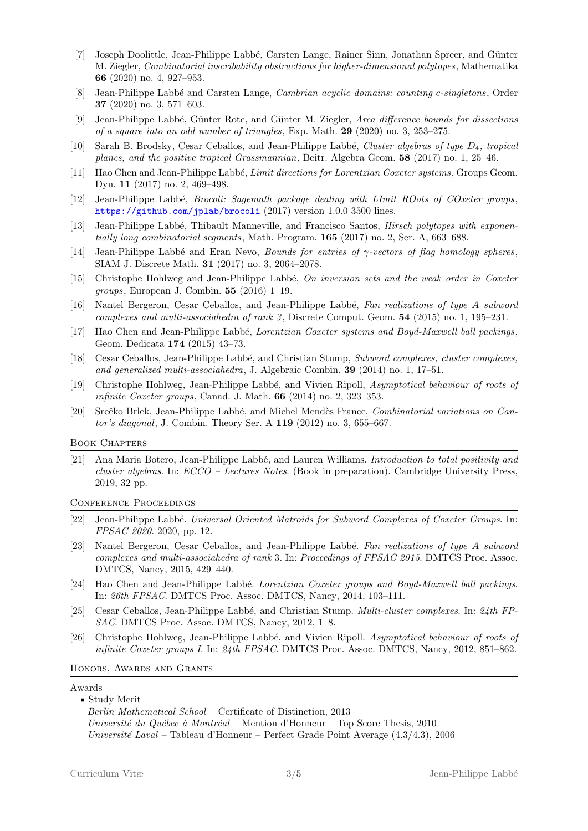- [7] Joseph Doolittle, Jean-Philippe Labbé, Carsten Lange, Rainer Sinn, Jonathan Spreer, and Günter M. Ziegler, Combinatorial inscribability obstructions for higher-dimensional polytopes , Mathematika 66 (2020) no. 4, 927–953.
- [8] Jean-Philippe Labbé and Carsten Lange, Cambrian acyclic domains: counting c-singletons, Order 37 (2020) no. 3, 571–603.
- Jean-Philippe Labbé, Günter Rote, and Günter M. Ziegler, Area difference bounds for dissections of a square into an odd number of triangles, Exp. Math. 29 (2020) no. 3, 253–275.
- [10] Sarah B. Brodsky, Cesar Ceballos, and Jean-Philippe Labbé, Cluster algebras of type  $D_4$ , tropical planes, and the positive tropical Grassmannian, Beitr. Algebra Geom. 58 (2017) no. 1, 25–46.
- [11] Hao Chen and Jean-Philippe Labbé, *Limit directions for Lorentzian Coxeter systems*, Groups Geom. Dyn. 11 (2017) no. 2, 469–498.
- [12] Jean-Philippe Labbé, *Brocoli: Sagemath package dealing with LImit ROots of COxeter groups*, <https://github.com/jplab/brocoli> (2017) version 1.0.0 3500 lines.
- [13] Jean-Philippe Labbé, Thibault Manneville, and Francisco Santos, *Hirsch polytopes with exponen*tially long combinatorial segments, Math. Program. 165 (2017) no. 2, Ser. A, 663–688.
- [14] Jean-Philippe Labbé and Eran Nevo, Bounds for entries of  $\gamma$ -vectors of flag homology spheres, SIAM J. Discrete Math. 31 (2017) no. 3, 2064–2078.
- [15] Christophe Hohlweg and Jean-Philippe Labbé, On inversion sets and the weak order in Coxeter groups, European J. Combin. 55 (2016) 1–19.
- [16] Nantel Bergeron, Cesar Ceballos, and Jean-Philippe Labbé, Fan realizations of type A subword complexes and multi-associahedra of rank  $3$ , Discrete Comput. Geom.  $54$  (2015) no. 1, 195–231.
- [17] Hao Chen and Jean-Philippe Labbé, Lorentzian Coxeter systems and Boyd-Maxwell ball packings, Geom. Dedicata 174 (2015) 43–73.
- [18] Cesar Ceballos, Jean-Philippe Labbé, and Christian Stump, Subword complexes, cluster complexes, and generalized multi-associahedra, J. Algebraic Combin. 39 (2014) no. 1, 17–51.
- [19] Christophe Hohlweg, Jean-Philippe Labb´e, and Vivien Ripoll, Asymptotical behaviour of roots of infinite Coxeter groups, Canad. J. Math. 66 (2014) no. 2, 323–353.
- [20] Srečko Brlek, Jean-Philippe Labbé, and Michel Mendès France, Combinatorial variations on Cantor's diagonal, J. Combin. Theory Ser. A 119 (2012) no. 3, 655–667.

#### Book Chapters

[21] Ana Maria Botero, Jean-Philippe Labbé, and Lauren Williams. Introduction to total positivity and cluster algebras. In: ECCO – Lectures Notes. (Book in preparation). Cambridge University Press, 2019, 32 pp.

Conference Proceedings

- [22] Jean-Philippe Labbé. Universal Oriented Matroids for Subword Complexes of Coxeter Groups. In: FPSAC 2020. 2020, pp. 12.
- [23] Nantel Bergeron, Cesar Ceballos, and Jean-Philippe Labbé. Fan realizations of type A subword complexes and multi-associahedra of rank 3. In: Proceedings of FPSAC 2015. DMTCS Proc. Assoc. DMTCS, Nancy, 2015, 429–440.
- [24] Hao Chen and Jean-Philippe Labbé. *Lorentzian Coxeter groups and Boyd-Maxwell ball packings.* In: 26th FPSAC. DMTCS Proc. Assoc. DMTCS, Nancy, 2014, 103–111.
- [25] Cesar Ceballos, Jean-Philippe Labbé, and Christian Stump. *Multi-cluster complexes*. In: 24th FP-SAC. DMTCS Proc. Assoc. DMTCS, Nancy, 2012, 1–8.
- [26] Christophe Hohlweg, Jean-Philippe Labbé, and Vivien Ripoll. Asymptotical behaviour of roots of infinite Coxeter groups I. In: 24th FPSAC. DMTCS Proc. Assoc. DMTCS, Nancy, 2012, 851–862.

#### Honors, Awards and Grants

#### Awards

' Study Merit Berlin Mathematical School – Certificate of Distinction, 2013 Université du Québec à Montréal – Mention d'Honneur – Top Score Thesis, 2010 Université Laval – Tableau d'Honneur – Perfect Grade Point Average  $(4.3/4.3)$ , 2006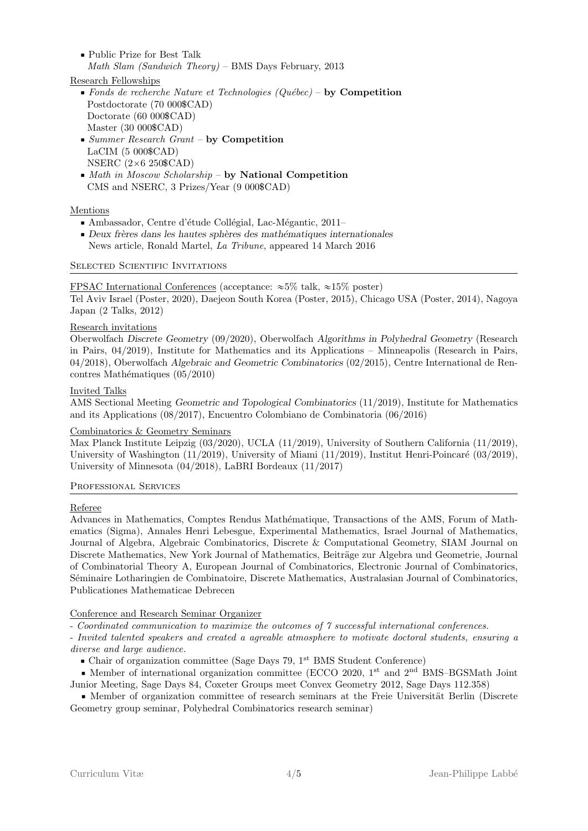' Public Prize for Best Talk Math Slam (Sandwich Theory) – BMS Days February, 2013

# Research Fellowships

- $\blacksquare$  Fonds de recherche Nature et Technologies (Québec) by Competition Postdoctorate (70 000\$CAD) Doctorate (60 000\$CAD) Master (30 000\$CAD)
- ' Summer Research Grant by Competition LaCIM (5 000\$CAD) NSERC  $(2\times6 250$ \$CAD)
- $\blacksquare$  Math in Moscow Scholarship by National Competition CMS and NSERC, 3 Prizes/Year (9 000\$CAD)

# Mentions

- Ambassador, Centre d'étude Collégial, Lac-Mégantic, 2011–
- Deux frères dans les hautes sphères des mathématiques internationales News article, Ronald Martel, La Tribune, appeared 14 March 2016

# SELECTED SCIENTIFIC INVITATIONS

# FPSAC International Conferences (acceptance:  $\approx 5\%$  talk,  $\approx 15\%$  poster)

Tel Aviv Israel (Poster, 2020), Daejeon South Korea (Poster, 2015), Chicago USA (Poster, 2014), Nagoya Japan (2 Talks, 2012)

# Research invitations

Oberwolfach Discrete Geometry (09/2020), Oberwolfach Algorithms in Polyhedral Geometry (Research in Pairs, 04/2019), Institute for Mathematics and its Applications – Minneapolis (Research in Pairs, 04/2018), Oberwolfach Algebraic and Geometric Combinatorics (02/2015), Centre International de Ren $contres Mathématiques (05/2010)$ 

# Invited Talks

AMS Sectional Meeting Geometric and Topological Combinatorics (11/2019), Institute for Mathematics and its Applications (08/2017), Encuentro Colombiano de Combinatoria (06/2016)

# Combinatorics & Geometry Seminars

Max Planck Institute Leipzig (03/2020), UCLA (11/2019), University of Southern California (11/2019), University of Washington  $(11/2019)$ , University of Miami  $(11/2019)$ , Institut Henri-Poincaré  $(03/2019)$ , University of Minnesota (04/2018), LaBRI Bordeaux (11/2017)

# PROFESSIONAL SERVICES

# Referee

Advances in Mathematics, Comptes Rendus Mathématique, Transactions of the AMS, Forum of Mathematics (Sigma), Annales Henri Lebesgue, Experimental Mathematics, Israel Journal of Mathematics, Journal of Algebra, Algebraic Combinatorics, Discrete & Computational Geometry, SIAM Journal on Discrete Mathematics, New York Journal of Mathematics, Beiträge zur Algebra und Geometrie, Journal of Combinatorial Theory A, European Journal of Combinatorics, Electronic Journal of Combinatorics, Séminaire Lotharingien de Combinatoire, Discrete Mathematics, Australasian Journal of Combinatorics, Publicationes Mathematicae Debrecen

# Conference and Research Seminar Organizer

- Coordinated communication to maximize the outcomes of 7 successful international conferences.

- Invited talented speakers and created a agreable atmosphere to motivate doctoral students, ensuring a diverse and large audience.

 $\bullet$  Chair of organization committee (Sage Days 79, 1<sup>st</sup> BMS Student Conference)

 $\bullet$  Member of international organization committee (ECCO 2020, 1<sup>st</sup> and 2<sup>nd</sup> BMS–BGSMath Joint Junior Meeting, Sage Days 84, Coxeter Groups meet Convex Geometry 2012, Sage Days 112.358)

■ Member of organization committee of research seminars at the Freie Universität Berlin (Discrete Geometry group seminar, Polyhedral Combinatorics research seminar)